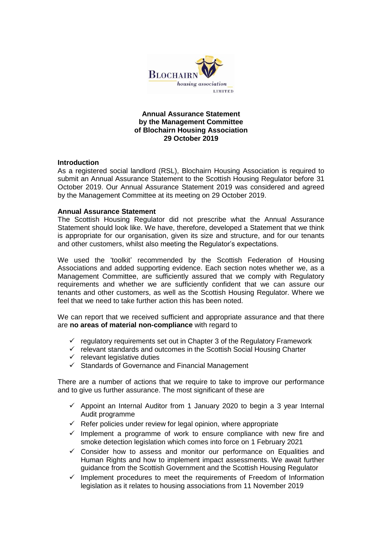

## **Annual Assurance Statement by the Management Committee of Blochairn Housing Association 29 October 2019**

## **Introduction**

As a registered social landlord (RSL), Blochairn Housing Association is required to submit an Annual Assurance Statement to the Scottish Housing Regulator before 31 October 2019. Our Annual Assurance Statement 2019 was considered and agreed by the Management Committee at its meeting on 29 October 2019.

## **Annual Assurance Statement**

The Scottish Housing Regulator did not prescribe what the Annual Assurance Statement should look like. We have, therefore, developed a Statement that we think is appropriate for our organisation, given its size and structure, and for our tenants and other customers, whilst also meeting the Regulator's expectations.

We used the 'toolkit' recommended by the Scottish Federation of Housing Associations and added supporting evidence. Each section notes whether we, as a Management Committee, are sufficiently assured that we comply with Regulatory requirements and whether we are sufficiently confident that we can assure our tenants and other customers, as well as the Scottish Housing Regulator. Where we feel that we need to take further action this has been noted.

We can report that we received sufficient and appropriate assurance and that there are **no areas of material non-compliance** with regard to

- $\checkmark$  regulatory requirements set out in Chapter 3 of the Regulatory Framework
- $\checkmark$  relevant standards and outcomes in the Scottish Social Housing Charter
- $\checkmark$  relevant legislative duties
- $\checkmark$  Standards of Governance and Financial Management

There are a number of actions that we require to take to improve our performance and to give us further assurance. The most significant of these are

- $\checkmark$  Appoint an Internal Auditor from 1 January 2020 to begin a 3 year Internal Audit programme
- $\checkmark$  Refer policies under review for legal opinion, where appropriate
- $\checkmark$  Implement a programme of work to ensure compliance with new fire and smoke detection legislation which comes into force on 1 February 2021
- $\checkmark$  Consider how to assess and monitor our performance on Equalities and Human Rights and how to implement impact assessments. We await further guidance from the Scottish Government and the Scottish Housing Regulator
- $\checkmark$  Implement procedures to meet the requirements of Freedom of Information legislation as it relates to housing associations from 11 November 2019